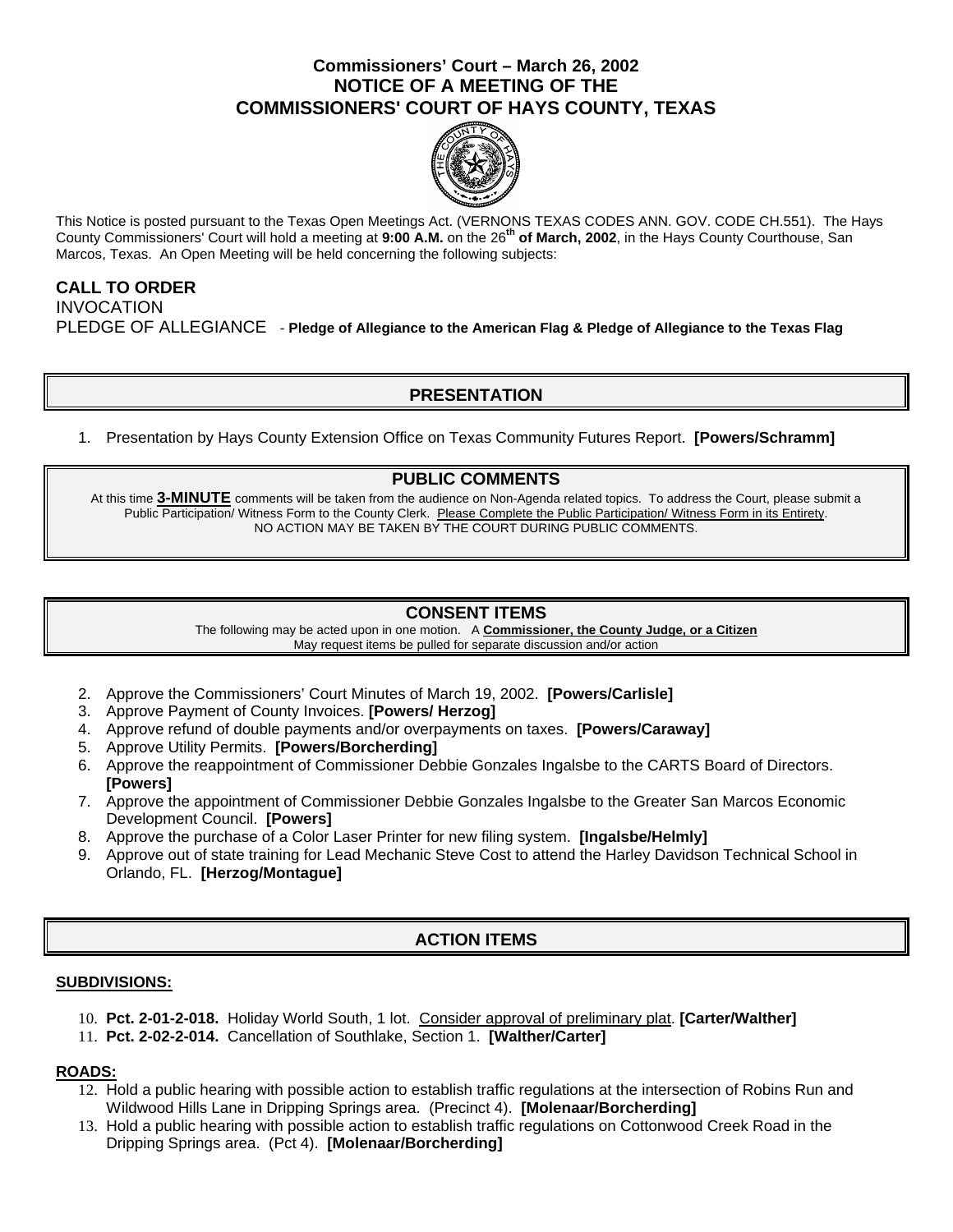## **Commissioners' Court – March 26, 2002 NOTICE OF A MEETING OF THE COMMISSIONERS' COURT OF HAYS COUNTY, TEXAS**



This Notice is posted pursuant to the Texas Open Meetings Act. (VERNONS TEXAS CODES ANN. GOV. CODE CH.551). The Hays County Commissioners' Court will hold a meeting at **9:00 A.M.** on the 26**th of March, 2002**, in the Hays County Courthouse, San Marcos, Texas. An Open Meeting will be held concerning the following subjects:

## **CALL TO ORDER**  INVOCATION PLEDGE OF ALLEGIANCE - **Pledge of Allegiance to the American Flag & Pledge of Allegiance to the Texas Flag**

## **PRESENTATION**

1. Presentation by Hays County Extension Office on Texas Community Futures Report. **[Powers/Schramm]**

## **PUBLIC COMMENTS**

At this time **3-MINUTE** comments will be taken from the audience on Non-Agenda related topics. To address the Court, please submit a Public Participation/ Witness Form to the County Clerk. Please Complete the Public Participation/ Witness Form in its Entirety. NO ACTION MAY BE TAKEN BY THE COURT DURING PUBLIC COMMENTS.

### **CONSENT ITEMS**

The following may be acted upon in one motion. A **Commissioner, the County Judge, or a Citizen** May request items be pulled for separate discussion and/or action

- 2. Approve the Commissioners' Court Minutes of March 19, 2002. **[Powers/Carlisle]**
- 3. Approve Payment of County Invoices. **[Powers/ Herzog]**
- 4. Approve refund of double payments and/or overpayments on taxes. **[Powers/Caraway]**
- 5. Approve Utility Permits. **[Powers/Borcherding]**
- 6. Approve the reappointment of Commissioner Debbie Gonzales Ingalsbe to the CARTS Board of Directors. **[Powers]**
- 7. Approve the appointment of Commissioner Debbie Gonzales Ingalsbe to the Greater San Marcos Economic Development Council. **[Powers]**
- 8. Approve the purchase of a Color Laser Printer for new filing system. **[Ingalsbe/Helmly]**
- 9. Approve out of state training for Lead Mechanic Steve Cost to attend the Harley Davidson Technical School in Orlando, FL. **[Herzog/Montague]**

# **ACTION ITEMS**

#### **SUBDIVISIONS:**

- 10. **Pct. 2-01-2-018.** Holiday World South, 1 lot. Consider approval of preliminary plat. **[Carter/Walther]**
- 11. **Pct. 2-02-2-014.** Cancellation of Southlake, Section 1. **[Walther/Carter]**

### **ROADS:**

- 12. Hold a public hearing with possible action to establish traffic regulations at the intersection of Robins Run and Wildwood Hills Lane in Dripping Springs area. (Precinct 4). **[Molenaar/Borcherding]**
- 13. Hold a public hearing with possible action to establish traffic regulations on Cottonwood Creek Road in the Dripping Springs area. (Pct 4). **[Molenaar/Borcherding]**